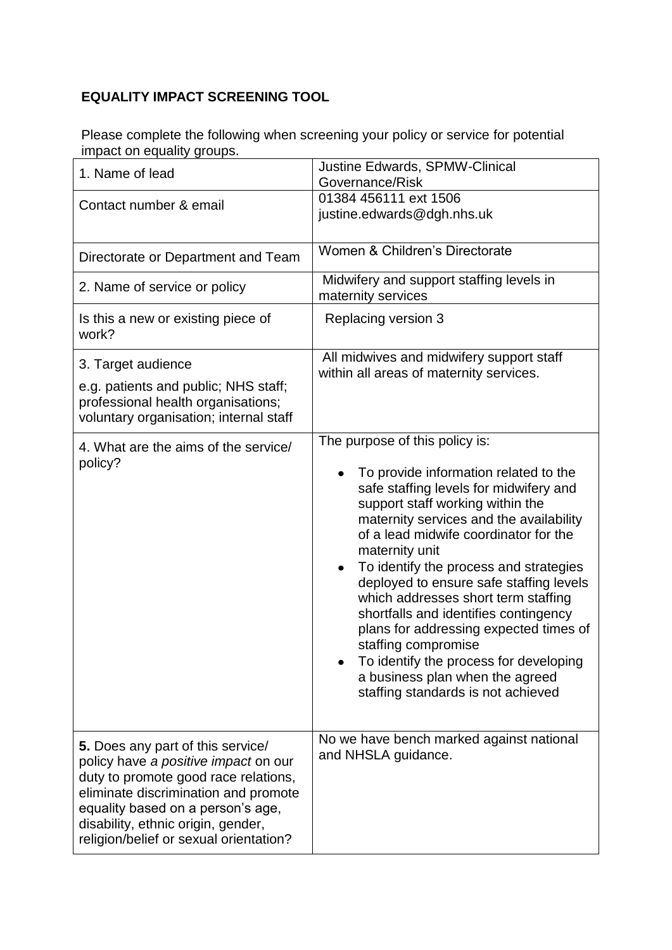## **EQUALITY IMPACT SCREENING TOOL**

Please complete the following when screening your policy or service for potential impact on equality groups.

| 1. Name of lead                                                                                                                                                                                                                                                                | <b>Justine Edwards, SPMW-Clinical</b><br>Governance/Risk                                                                                                                                                                                                                                                                                                                                                                                                                                                                                                                                                                  |
|--------------------------------------------------------------------------------------------------------------------------------------------------------------------------------------------------------------------------------------------------------------------------------|---------------------------------------------------------------------------------------------------------------------------------------------------------------------------------------------------------------------------------------------------------------------------------------------------------------------------------------------------------------------------------------------------------------------------------------------------------------------------------------------------------------------------------------------------------------------------------------------------------------------------|
| Contact number & email                                                                                                                                                                                                                                                         | 01384 456111 ext 1506<br>justine.edwards@dgh.nhs.uk                                                                                                                                                                                                                                                                                                                                                                                                                                                                                                                                                                       |
| Directorate or Department and Team                                                                                                                                                                                                                                             | Women & Children's Directorate                                                                                                                                                                                                                                                                                                                                                                                                                                                                                                                                                                                            |
| 2. Name of service or policy                                                                                                                                                                                                                                                   | Midwifery and support staffing levels in<br>maternity services                                                                                                                                                                                                                                                                                                                                                                                                                                                                                                                                                            |
| Is this a new or existing piece of<br>work?                                                                                                                                                                                                                                    | Replacing version 3                                                                                                                                                                                                                                                                                                                                                                                                                                                                                                                                                                                                       |
| 3. Target audience<br>e.g. patients and public; NHS staff;<br>professional health organisations;<br>voluntary organisation; internal staff                                                                                                                                     | All midwives and midwifery support staff<br>within all areas of maternity services.                                                                                                                                                                                                                                                                                                                                                                                                                                                                                                                                       |
| 4. What are the aims of the service/<br>policy?                                                                                                                                                                                                                                | The purpose of this policy is:<br>To provide information related to the<br>safe staffing levels for midwifery and<br>support staff working within the<br>maternity services and the availability<br>of a lead midwife coordinator for the<br>maternity unit<br>To identify the process and strategies<br>٠<br>deployed to ensure safe staffing levels<br>which addresses short term staffing<br>shortfalls and identifies contingency<br>plans for addressing expected times of<br>staffing compromise<br>To identify the process for developing<br>a business plan when the agreed<br>staffing standards is not achieved |
| 5. Does any part of this service/<br>policy have a positive impact on our<br>duty to promote good race relations,<br>eliminate discrimination and promote<br>equality based on a person's age,<br>disability, ethnic origin, gender,<br>religion/belief or sexual orientation? | No we have bench marked against national<br>and NHSLA guidance.                                                                                                                                                                                                                                                                                                                                                                                                                                                                                                                                                           |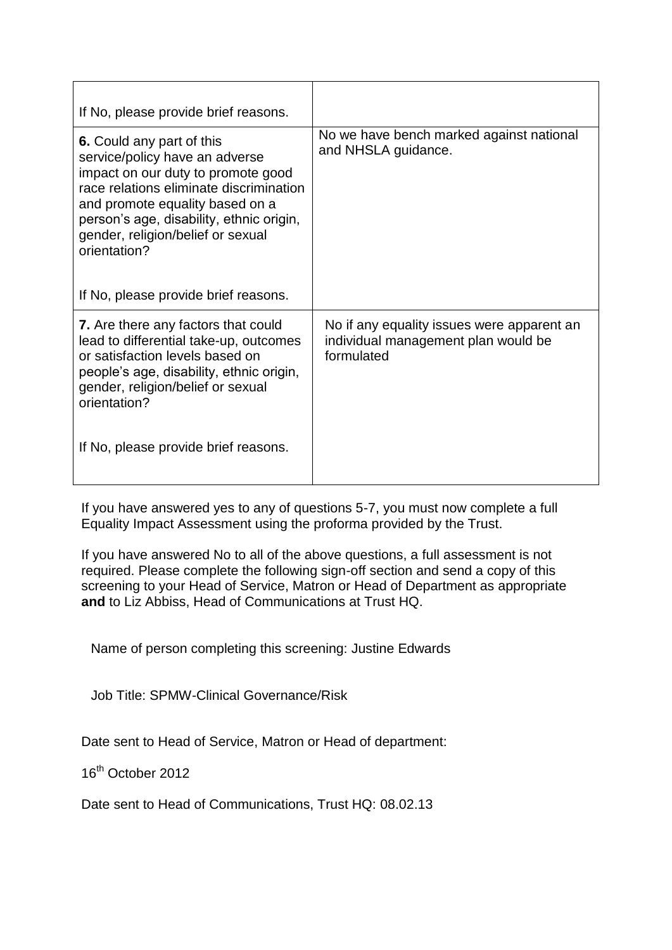| If No, please provide brief reasons.                                                                                                                                                                                                                                             |                                                                                                 |
|----------------------------------------------------------------------------------------------------------------------------------------------------------------------------------------------------------------------------------------------------------------------------------|-------------------------------------------------------------------------------------------------|
| 6. Could any part of this<br>service/policy have an adverse<br>impact on our duty to promote good<br>race relations eliminate discrimination<br>and promote equality based on a<br>person's age, disability, ethnic origin,<br>gender, religion/belief or sexual<br>orientation? | No we have bench marked against national<br>and NHSLA guidance.                                 |
| If No, please provide brief reasons.                                                                                                                                                                                                                                             |                                                                                                 |
| <b>7.</b> Are there any factors that could<br>lead to differential take-up, outcomes<br>or satisfaction levels based on<br>people's age, disability, ethnic origin,<br>gender, religion/belief or sexual<br>orientation?                                                         | No if any equality issues were apparent an<br>individual management plan would be<br>formulated |
| If No, please provide brief reasons.                                                                                                                                                                                                                                             |                                                                                                 |

If you have answered yes to any of questions 5-7, you must now complete a full Equality Impact Assessment using the proforma provided by the Trust.

If you have answered No to all of the above questions, a full assessment is not required. Please complete the following sign-off section and send a copy of this screening to your Head of Service, Matron or Head of Department as appropriate **and** to Liz Abbiss, Head of Communications at Trust HQ.

Name of person completing this screening: Justine Edwards

Job Title: SPMW-Clinical Governance/Risk

Date sent to Head of Service, Matron or Head of department:

16th October 2012

Date sent to Head of Communications, Trust HQ: 08.02.13